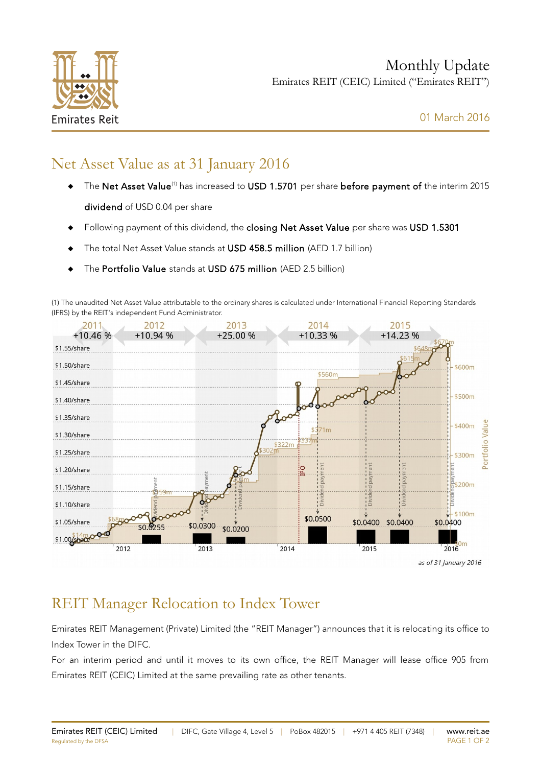

Monthly Update Emirates REIT (CEIC) Limited ("Emirates REIT")

# Net Asset Value as at 31 January 2016

- The Net Asset Value<sup>(1)</sup> has increased to USD 1.5701 per share before payment of the interim 2015 dividend of USD 0.04 per share
- Following payment of this dividend, the closing Net Asset Value per share was USD 1.5301
- The total Net Asset Value stands at USD 458.5 million (AED 1.7 billion)
- The Portfolio Value stands at USD 675 million (AED 2.5 billion)

(1) The unaudited Net Asset Value attributable to the ordinary shares is calculated under International Financial Reporting Standards (IFRS) by the REIT's independent Fund Administrator.



## REIT Manager Relocation to Index Tower

Emirates REIT Management (Private) Limited (the "REIT Manager") announces that it is relocating its office to Index Tower in the DIFC.

For an interim period and until it moves to its own office, the REIT Manager will lease office 905 from Emirates REIT (CEIC) Limited at the same prevailing rate as other tenants.